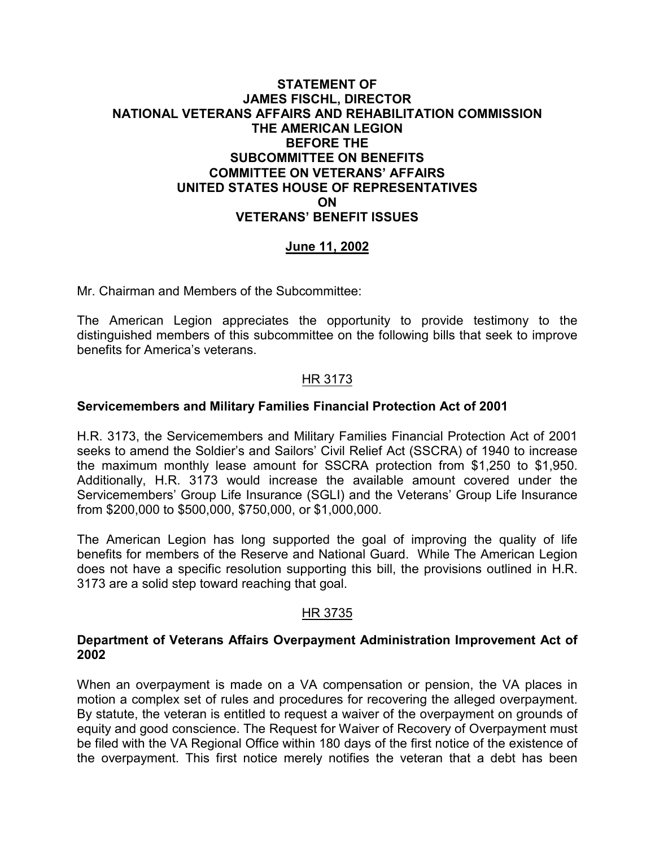### **STATEMENT OF JAMES FISCHL, DIRECTOR NATIONAL VETERANS AFFAIRS AND REHABILITATION COMMISSION THE AMERICAN LEGION BEFORE THE SUBCOMMITTEE ON BENEFITS COMMITTEE ON VETERANS' AFFAIRS UNITED STATES HOUSE OF REPRESENTATIVES ON VETERANS' BENEFIT ISSUES**

# **June 11, 2002**

Mr. Chairman and Members of the Subcommittee:

The American Legion appreciates the opportunity to provide testimony to the distinguished members of this subcommittee on the following bills that seek to improve benefits for America's veterans.

### HR 3173

#### **Servicemembers and Military Families Financial Protection Act of 2001**

H.R. 3173, the Servicemembers and Military Families Financial Protection Act of 2001 seeks to amend the Soldier's and Sailors' Civil Relief Act (SSCRA) of 1940 to increase the maximum monthly lease amount for SSCRA protection from \$1,250 to \$1,950. Additionally, H.R. 3173 would increase the available amount covered under the Servicemembers' Group Life Insurance (SGLI) and the Veterans' Group Life Insurance from \$200,000 to \$500,000, \$750,000, or \$1,000,000.

The American Legion has long supported the goal of improving the quality of life benefits for members of the Reserve and National Guard. While The American Legion does not have a specific resolution supporting this bill, the provisions outlined in H.R. 3173 are a solid step toward reaching that goal.

#### HR 3735

#### **Department of Veterans Affairs Overpayment Administration Improvement Act of 2002**

When an overpayment is made on a VA compensation or pension, the VA places in motion a complex set of rules and procedures for recovering the alleged overpayment. By statute, the veteran is entitled to request a waiver of the overpayment on grounds of equity and good conscience. The Request for Waiver of Recovery of Overpayment must be filed with the VA Regional Office within 180 days of the first notice of the existence of the overpayment. This first notice merely notifies the veteran that a debt has been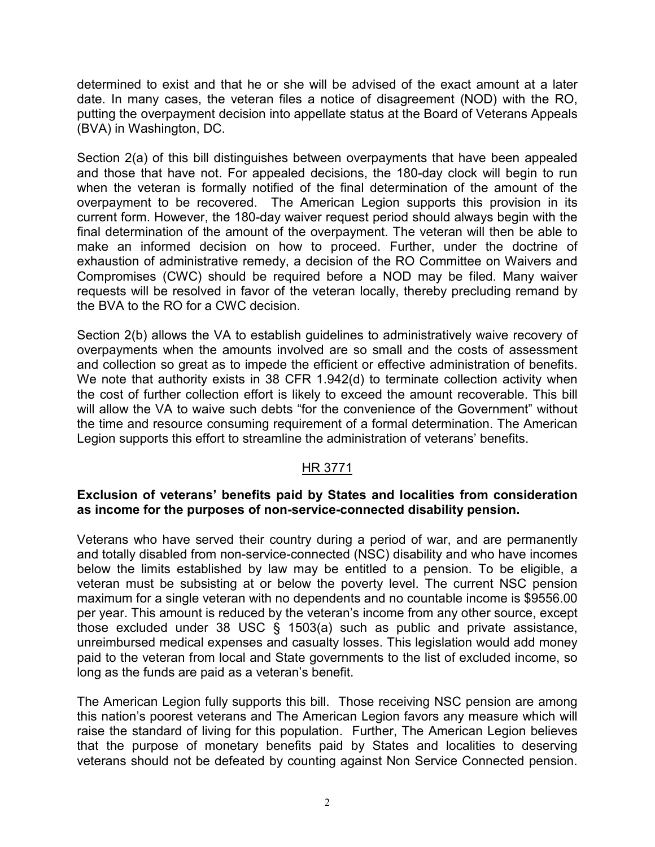determined to exist and that he or she will be advised of the exact amount at a later date. In many cases, the veteran files a notice of disagreement (NOD) with the RO, putting the overpayment decision into appellate status at the Board of Veterans Appeals (BVA) in Washington, DC.

Section 2(a) of this bill distinguishes between overpayments that have been appealed and those that have not. For appealed decisions, the 180-day clock will begin to run when the veteran is formally notified of the final determination of the amount of the overpayment to be recovered. The American Legion supports this provision in its current form. However, the 180-day waiver request period should always begin with the final determination of the amount of the overpayment. The veteran will then be able to make an informed decision on how to proceed. Further, under the doctrine of exhaustion of administrative remedy, a decision of the RO Committee on Waivers and Compromises (CWC) should be required before a NOD may be filed. Many waiver requests will be resolved in favor of the veteran locally, thereby precluding remand by the BVA to the RO for a CWC decision.

Section 2(b) allows the VA to establish guidelines to administratively waive recovery of overpayments when the amounts involved are so small and the costs of assessment and collection so great as to impede the efficient or effective administration of benefits. We note that authority exists in 38 CFR 1.942(d) to terminate collection activity when the cost of further collection effort is likely to exceed the amount recoverable. This bill will allow the VA to waive such debts "for the convenience of the Government" without the time and resource consuming requirement of a formal determination. The American Legion supports this effort to streamline the administration of veterans' benefits.

### HR 3771

#### **Exclusion of veterans' benefits paid by States and localities from consideration as income for the purposes of non-service-connected disability pension.**

Veterans who have served their country during a period of war, and are permanently and totally disabled from non-service-connected (NSC) disability and who have incomes below the limits established by law may be entitled to a pension. To be eligible, a veteran must be subsisting at or below the poverty level. The current NSC pension maximum for a single veteran with no dependents and no countable income is \$9556.00 per year. This amount is reduced by the veteran's income from any other source, except those excluded under 38 USC § 1503(a) such as public and private assistance, unreimbursed medical expenses and casualty losses. This legislation would add money paid to the veteran from local and State governments to the list of excluded income, so long as the funds are paid as a veteran's benefit.

The American Legion fully supports this bill. Those receiving NSC pension are among this nation's poorest veterans and The American Legion favors any measure which will raise the standard of living for this population. Further, The American Legion believes that the purpose of monetary benefits paid by States and localities to deserving veterans should not be defeated by counting against Non Service Connected pension.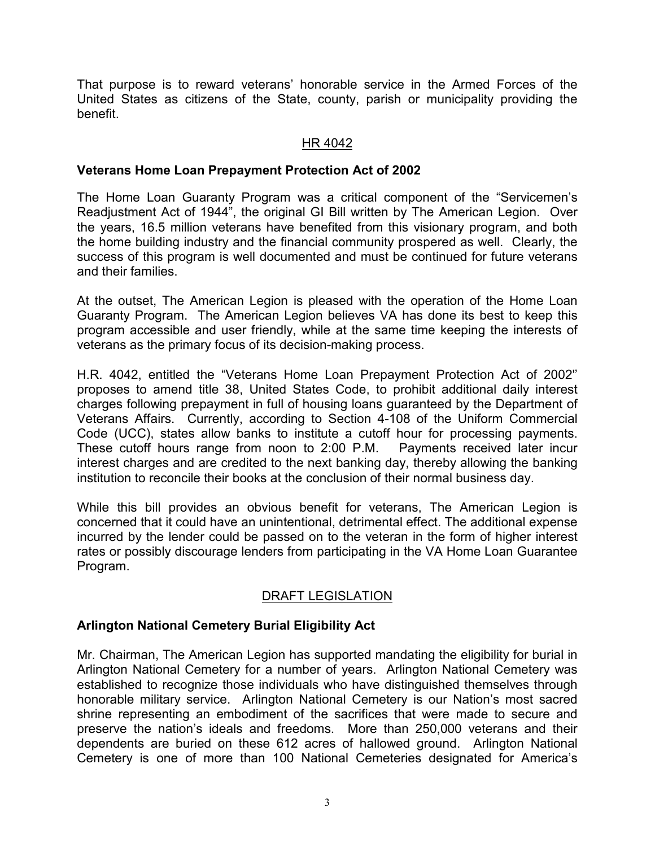That purpose is to reward veterans' honorable service in the Armed Forces of the United States as citizens of the State, county, parish or municipality providing the benefit.

## HR 4042

## **Veterans Home Loan Prepayment Protection Act of 2002**

The Home Loan Guaranty Program was a critical component of the "Servicemen's Readjustment Act of 1944", the original GI Bill written by The American Legion. Over the years, 16.5 million veterans have benefited from this visionary program, and both the home building industry and the financial community prospered as well. Clearly, the success of this program is well documented and must be continued for future veterans and their families.

At the outset, The American Legion is pleased with the operation of the Home Loan Guaranty Program. The American Legion believes VA has done its best to keep this program accessible and user friendly, while at the same time keeping the interests of veterans as the primary focus of its decision-making process.

H.R. 4042, entitled the "Veterans Home Loan Prepayment Protection Act of 2002'' proposes to amend title 38, United States Code, to prohibit additional daily interest charges following prepayment in full of housing loans guaranteed by the Department of Veterans Affairs. Currently, according to Section 4-108 of the Uniform Commercial Code (UCC), states allow banks to institute a cutoff hour for processing payments. These cutoff hours range from noon to 2:00 P.M. Payments received later incur interest charges and are credited to the next banking day, thereby allowing the banking institution to reconcile their books at the conclusion of their normal business day.

While this bill provides an obvious benefit for veterans, The American Legion is concerned that it could have an unintentional, detrimental effect. The additional expense incurred by the lender could be passed on to the veteran in the form of higher interest rates or possibly discourage lenders from participating in the VA Home Loan Guarantee Program.

# DRAFT LEGISLATION

# **Arlington National Cemetery Burial Eligibility Act**

Mr. Chairman, The American Legion has supported mandating the eligibility for burial in Arlington National Cemetery for a number of years. Arlington National Cemetery was established to recognize those individuals who have distinguished themselves through honorable military service. Arlington National Cemetery is our Nation's most sacred shrine representing an embodiment of the sacrifices that were made to secure and preserve the nation's ideals and freedoms. More than 250,000 veterans and their dependents are buried on these 612 acres of hallowed ground. Arlington National Cemetery is one of more than 100 National Cemeteries designated for America's